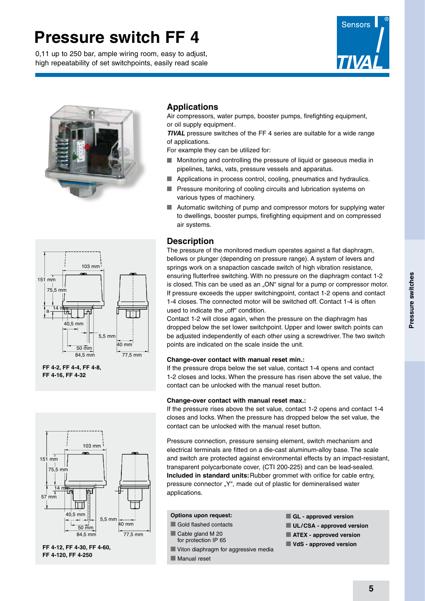0,11 up to 250 bar, ample wiring room, easy to adjust, high repeatability of set switchpoints, easily read scale





### **Applications**

Air compressors, water pumps, booster pumps, firefighting equipment, or oil supply equipment.

*TIVAL* pressure switches of the FF 4 series are suitable for a wide range of applications.

For example they can be utilized for:

- Monitoring and controlling the pressure of liquid or gaseous media in pipelines, tanks, vats, pressure vessels and apparatus.
- **n** Applications in process control, cooling, pneumatics and hydraulics.
- **n** Pressure monitoring of cooling circuits and lubrication systems on various types of machinery.
- $\blacksquare$  Automatic switching of pump and compressor motors for supplying water to dwellings, booster pumps, firefighting equipment and on compressed air systems.

### **Description**

The pressure of the monitored medium operates against a flat diaphragm, bellows or plunger (depending on pressure range). A system of levers and springs work on a snapaction cascade switch of high vibration resistance, ensuring flutterfree switching. With no pressure on the diaphragm contact 1-2 is closed. This can be used as an "ON" signal for a pump or compressor motor. If pressure exceeds the upper switchingpoint, contact 1-2 opens and contact 1-4 closes. The connected motor will be switched off. Contact 1-4 is often used to indicate the ..off" condition.

Contact 1-2 will close again, when the pressure on the diaphragm has dropped below the set lower switchpoint. Upper and lower switch points can be adjusted independently of each other using a screwdriver. The two switch points are indicated on the scale inside the unit.

#### **Change-over contact with manual reset min.:**

If the pressure drops below the set value, contact 1-4 opens and contact 1-2 closes and locks. When the pressure has risen above the set value, the contact can be unlocked with the manual reset button.

#### **Change-over contact with manual reset max.:**

If the pressure rises above the set value, contact 1-2 opens and contact 1-4 closes and locks. When the pressure has dropped below the set value, the contact can be unlocked with the manual reset button.

Pressure connection, pressure sensing element, switch mechanism and electrical terminals are fitted on a die-cast aluminum-alloy base. The scale and switch are protected against environmental effects by an impact-resistant, transparent polycarbonate cover, (CTI 200-225) and can be lead-sealed. **Included in standard units:**Rubber grommet with orifice for cable entry, pressure connector "Y", made out of plastic for demineralised water applications.

#### **Options upon request:**

- $\blacksquare$  Gold flashed contacts
- Cable gland M 20 for protection IP 65
- **N** Viton diaphragm for aggressive media
- $\blacksquare$  Manual reset
- $\blacksquare$  **GL approved version**
- **N** UL/CSA approved version
- $\blacksquare$  **ATEX approved version**
- n **VdS approved version**

151 mm 75,5 mm  $\frac{14}{10}$ a  $\rightarrow$  $40.5$  mm 5,5 mm 40 mm 50 mm 84,5 mm 77,5 mm

103 mm

**FF 4-2, FF 4-4, FF 4-8, FF 4-16, FF 4-32**



**FF 4-12, FF 4-30, FF 4-60, FF 4-120, FF 4-250**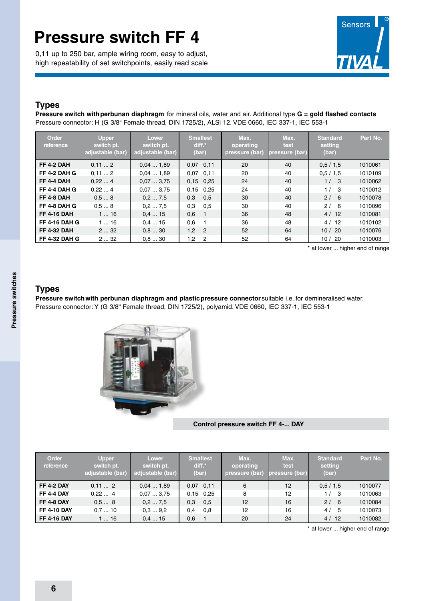0,11 up to 250 bar, ample wiring room, easy to adjust, high repeatability of set switchpoints, easily read scale



## **Types**

**Pressure switch withperbunan diaphragm** for mineral oils, water and air. Additional type **G = gold flashed contacts** Pressure connector: H (G 3/8" Female thread, DIN 1725/2), ALSi 12. VDE 0660, IEC 337-1, IEC 553-1

| Order<br>reference   | <b>Upper</b><br>switch pt.<br>adjustable (bar) | Lower<br>switch pt.<br>adjustable (bar) | <b>Smallest</b><br>$diff.*$<br>(bar) | Max.<br>operating<br>pressure (bar) | Max.<br>test<br>pressure (bar) | <b>Standard</b><br>setting<br>(bar) | Part No. |
|----------------------|------------------------------------------------|-----------------------------------------|--------------------------------------|-------------------------------------|--------------------------------|-------------------------------------|----------|
| <b>FF 4-2 DAH</b>    | 0,112                                          | 0.041.89                                | $0.07$ 0.11                          | 20                                  | 40                             | 0.5 / 1.5                           | 1010061  |
| FF 4-2 DAH G         | 0.112                                          | 0.041.89                                | $0.07$ $0.11$                        | 20                                  | 40                             | 0.5 / 1.5                           | 1010109  |
| <b>FF 4-4 DAH</b>    | 0.224                                          | 0.073.75                                | $0.15$ 0.25                          | 24                                  | 40                             | 1/3                                 | 1010062  |
| FF 4-4 DAH G         | 0,224                                          | 0.073.75                                | $0.15$ 0.25                          | 24                                  | 40                             | 1/<br>-3                            | 1010012  |
| FF 4-8 DAH           | 0.58                                           | 0,27,5                                  | 0,3<br>0,5                           | 30                                  | 40                             | 2/6                                 | 1010078  |
| FF 4-8 DAH G         | 0.58                                           | 0.27.5                                  | 0,5<br>0,3                           | 30                                  | 40                             | 2/<br>-6                            | 1010096  |
| <b>FF 4-16 DAH</b>   | 116                                            | 0.415                                   | 0,6                                  | 36                                  | 48                             | 4/12                                | 1010081  |
| <b>FF 4-16 DAH G</b> | 116                                            | 0.415                                   | 0,6                                  | 36                                  | 48                             | 4/12                                | 1010102  |
| <b>FF 4-32 DAH</b>   | 232                                            | 0.830                                   | 1,2<br>$\overline{2}$                | 52                                  | 64                             | 10/20                               | 1010076  |
| <b>FF 4-32 DAH G</b> | 232                                            | 0.830                                   | 1,2<br>$\overline{2}$                | 52                                  | 64                             | 10/20                               | 1010003  |

\* at lower ... higher end of range

# Pressure switches **Pressure switches**

### **Types**

**Pressure switchwith perbunan diaphragm and plasticpressure connector** suitable i.e. for demineralised water. Pressure connector: Y (G 3/8" Female thread, DIN 1725/2), polyamid. VDE 0660, IEC 337-1, IEC 553-1



**Control pressure switch FF 4-... DAY**

| <b>Order</b><br>reference | <b>Upper</b><br>switch pt.<br>adjustable (bar) | <b>Lower</b><br>switch pt.<br>adjustable (bar) | <b>Smallest</b><br>diff.*<br>(bar) | Max.<br>operating<br>pressure (bar) | Max.<br><b>test</b><br>pressure (bar) | <b>Standard</b><br>setting<br>(bar) | Part No. |
|---------------------------|------------------------------------------------|------------------------------------------------|------------------------------------|-------------------------------------|---------------------------------------|-------------------------------------|----------|
| <b>FF 4-2 DAY</b>         | 0,112                                          | 0.041.89                                       | $0.07$ 0.11                        | 6                                   | 12 <sup>2</sup>                       | 0.5 / 1.5                           | 1010077  |
| <b>FF 4-4 DAY</b>         | 0.224                                          | 0.073.75                                       | $0.15$ 0.25                        | 8                                   | $12 \overline{ }$                     | 1/<br>- 3                           | 1010063  |
| FF 4-8 DAY                | 0.58                                           | 0,27,5                                         | 0,5<br>0,3                         | 12                                  | 16                                    | 2/6                                 | 1010084  |
| <b>FF 4-10 DAY</b>        | 0.710                                          | 0.39.2                                         | 0,8<br>0,4                         | 12                                  | 16                                    | 4/<br>-5                            | 1010073  |
| <b>FF 4-16 DAY</b>        | 116                                            | 0.415                                          | 0,6                                | 20                                  | 24                                    | 4/12                                | 1010082  |

\* at lower ... higher end of range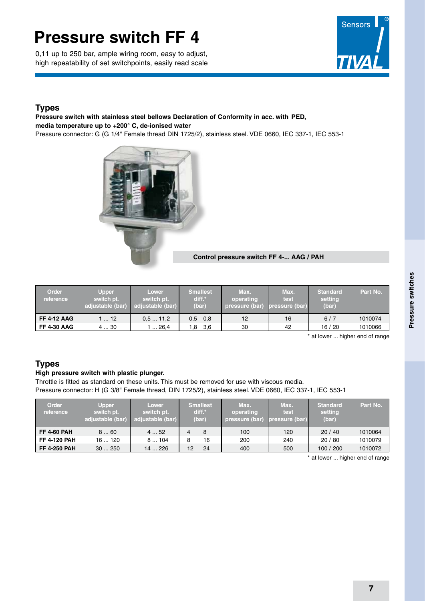0,11 up to 250 bar, ample wiring room, easy to adjust, high repeatability of set switchpoints, easily read scale



### **Types**

### **Pressure switch with stainless steel bellows Declaration of Conformity in acc. with PED, media temperature up to +200° C, de-ionised water**

Pressure connector: G (G 1/4" Female thread DIN 1725/2), stainless steel. VDE 0660, IEC 337-1, IEC 553-1



#### **Control pressure switch FF 4-... AAG / PAH**

| <b>Order</b><br>reference | <b>Upper</b><br>switch pt.<br>adjustable (bar) | <b>Lower</b><br>switch pt.<br>adjustable (bar) | <b>Smallest</b><br>diff.*<br>(bar) | Max.<br>operating<br>pressure (bar) | Max.<br>test<br>pressure (bar) | <b>Standard</b><br>setting<br>(bar) | Part No. |
|---------------------------|------------------------------------------------|------------------------------------------------|------------------------------------|-------------------------------------|--------------------------------|-------------------------------------|----------|
| <b>FF 4-12 AAG</b>        | $\ldots$ 12                                    | 0.511.2                                        | $0,5$ 0,8                          | 12                                  | 16                             | 6/7                                 | 1010074  |
| <b>FF 4-30 AAG</b>        | 430                                            | .  26,4                                        | 3,6<br>1.8                         | 30                                  | 42                             | 16/20                               | 1010066  |

\* at lower ... higher end of range

## **Types**

#### **High pressure switch with plastic plunger.**

Throttle is fitted as standard on these units. This must be removed for use with viscous media. Pressure connector: H (G 3/8" Female thread, DIN 1725/2), stainless steel. VDE 0660, IEC 337-1, IEC 553-1

| Order<br>reference  | <b>Upper</b><br>switch pt.<br>adjustable (bar) | <b>Lower</b><br>switch pt.<br>adjustable (bar) | <b>Smallest</b><br>$diff.*$<br>(bar) |    | Max.<br>operating<br>pressure (bar) | Max.<br>test<br>pressure (bar) | <b>Standard</b><br>setting<br>(bar) | Part No. |
|---------------------|------------------------------------------------|------------------------------------------------|--------------------------------------|----|-------------------------------------|--------------------------------|-------------------------------------|----------|
| <b>FF 4-60 PAH</b>  | 860                                            | 452                                            | 4                                    | 8  | 100                                 | 120                            | 20/40                               | 1010064  |
| <b>FF 4-120 PAH</b> | 16120                                          | 8104                                           | 8                                    | 16 | 200                                 | 240                            | 20/80                               | 1010079  |
| <b>FF 4-250 PAH</b> | 30250                                          | 14226                                          | 12                                   | 24 | 400                                 | 500                            | 100 / 200                           | 1010072  |

\* at lower ... higher end of range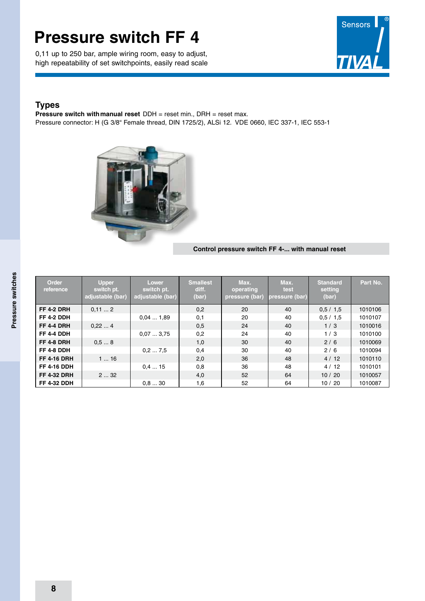0,11 up to 250 bar, ample wiring room, easy to adjust, high repeatability of set switchpoints, easily read scale



### **Types**

**Pressure switch with manual reset** DDH = reset min., DRH = reset max. Pressure connector: H (G 3/8" Female thread, DIN 1725/2), ALSi 12. VDE 0660, IEC 337-1, IEC 553-1



#### **Control pressure switch FF 4-... with manual reset**

| Order<br>reference | <b>Upper</b><br>switch pt.<br>adjustable (bar) | Lower<br>switch pt.<br>adjustable (bar) | <b>Smallest</b><br>diff.<br>(bar) | Max.<br>operating<br>pressure (bar) | Max.<br>test<br>pressure (bar) | <b>Standard</b><br>setting<br>(bar) | Part No. |
|--------------------|------------------------------------------------|-----------------------------------------|-----------------------------------|-------------------------------------|--------------------------------|-------------------------------------|----------|
| <b>FF 4-2 DRH</b>  | 0.112                                          |                                         | 0,2                               | 20                                  | 40                             | 0.5 / 1.5                           | 1010106  |
| <b>FF 4-2 DDH</b>  |                                                | 0.041.89                                | 0,1                               | 20                                  | 40                             | 0.5 / 1.5                           | 1010107  |
| <b>FF 4-4 DRH</b>  | 0,224                                          |                                         | 0,5                               | 24                                  | 40                             | 1/3                                 | 1010016  |
| <b>FF 4-4 DDH</b>  |                                                | 0,073,75                                | 0,2                               | 24                                  | 40                             | 1/3                                 | 1010100  |
| <b>FF 4-8 DRH</b>  | 0.58                                           |                                         | 1,0                               | 30                                  | 40                             | 2/6                                 | 1010069  |
| FF 4-8 DDH         |                                                | 0.27.5                                  | 0,4                               | 30                                  | 40                             | 2/6                                 | 1010094  |
| <b>FF 4-16 DRH</b> | 116                                            |                                         | 2,0                               | 36                                  | 48                             | 4/12                                | 1010110  |
| <b>FF 4-16 DDH</b> |                                                | 0.415                                   | 0,8                               | 36                                  | 48                             | 4/12                                | 1010101  |
| <b>FF 4-32 DRH</b> | 232                                            |                                         | 4,0                               | 52                                  | 64                             | 10/20                               | 1010057  |
| <b>FF 4-32 DDH</b> |                                                | 0.830                                   | 1,6                               | 52                                  | 64                             | 10/20                               | 1010087  |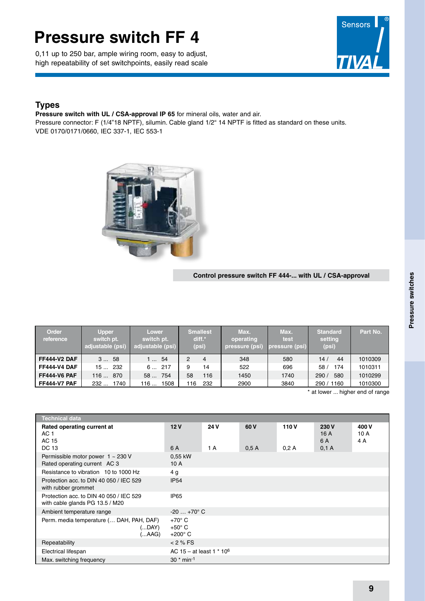0,11 up to 250 bar, ample wiring room, easy to adjust, high repeatability of set switchpoints, easily read scale



## **Types**

**Pressure switch with UL / CSA-approval IP 65** for mineral oils, water and air.

Pressure connector: F (1/4"18 NPTF), silumin. Cable gland 1/2" 14 NPTF is fitted as standard on these units. VDE 0170/0171/0660, IEC 337-1, IEC 553-1



#### **Control pressure switch FF 444-... with UL / CSA-approval**

| Order<br>reference  | <b>Upper</b><br>switch pt.<br>adjustable (psi) | <b>Lower</b><br>switch pt.<br>adjustable (psi) | <b>Smallest</b><br>$diff.*$<br>(psi) | Max.<br>operating<br>pressure (psi) | Max.<br>test<br>pressure (psi) | <b>Standard</b><br>setting<br>(psi) | Part No. |
|---------------------|------------------------------------------------|------------------------------------------------|--------------------------------------|-------------------------------------|--------------------------------|-------------------------------------|----------|
| <b>FF444-V2 DAF</b> | 358                                            | -54<br>- 1                                     | 2<br>4                               | 348                                 | 580                            | 44<br>14 <sub>l</sub>               | 1010309  |
| <b>FF444-V4 DAF</b> | 15232                                          | 6217                                           | 14<br>9                              | 522                                 | 696                            | 174<br>58 <sub>1</sub>              | 1010311  |
| <b>FF444-V6 PAF</b> | 870<br>116                                     | 58<br>754                                      | 58<br>116                            | 1450                                | 1740                           | 580<br>290/                         | 1010299  |
| <b>FF444-V7 PAF</b> | 1740<br>232                                    | 1508<br>116                                    | 232<br>116                           | 2900                                | 3840                           | 1160<br>290/                        | 1010300  |

at lower ... higher end of range

| <b>Technical data</b>                                                      |                                                    |             |              |               |                             |                      |  |  |  |
|----------------------------------------------------------------------------|----------------------------------------------------|-------------|--------------|---------------|-----------------------------|----------------------|--|--|--|
| Rated operating current at<br>AC 1<br>AC 15<br>DC 13                       | 12V<br>6 A                                         | 24 V<br>1 A | 60 V<br>0.5A | 110 V<br>0.2A | 230 V<br>16A<br>6 A<br>0.1A | 400 V<br>10 A<br>4 A |  |  |  |
| Permissible motor power $1 \sim 230$ V<br>Rated operating current AC 3     | 0,55 kW<br>10A                                     |             |              |               |                             |                      |  |  |  |
| Resistance to vibration 10 to 1000 Hz                                      | 4 g                                                |             |              |               |                             |                      |  |  |  |
| Protection acc. to DIN 40 050 / IEC 529<br>with rubber grommet             | IP <sub>54</sub>                                   |             |              |               |                             |                      |  |  |  |
| Protection acc. to DIN 40 050 / IEC 529<br>with cable glands PG 13.5 / M20 | <b>IP65</b>                                        |             |              |               |                             |                      |  |  |  |
| Ambient temperature range                                                  | $-20+70^{\circ}$ C                                 |             |              |               |                             |                      |  |  |  |
| Perm. media temperature ( DAH, PAH, DAF)<br>(DAY)<br>(…AAG).               | $+70^\circ$ C<br>$+50^{\circ}$ C<br>$+200^\circ$ C |             |              |               |                             |                      |  |  |  |
| Repeatability                                                              | < 2 % FS                                           |             |              |               |                             |                      |  |  |  |
| Electrical lifespan                                                        | AC $15 - at least 1 * 10^6$                        |             |              |               |                             |                      |  |  |  |
| Max. switching frequency                                                   | $30 * min^{-1}$                                    |             |              |               |                             |                      |  |  |  |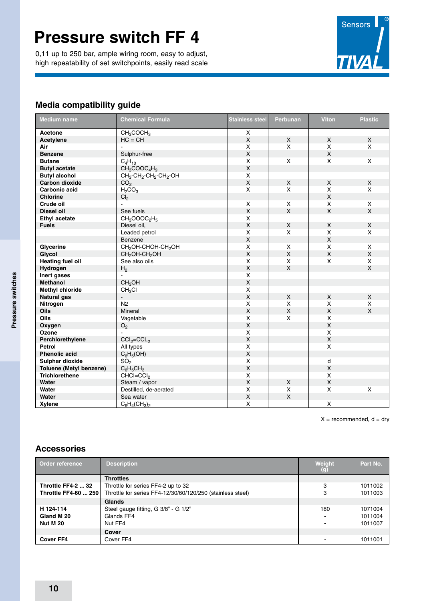0,11 up to 250 bar, ample wiring room, easy to adjust, high repeatability of set switchpoints, easily read scale



### **Media compatibility guide**

| <b>Medium name</b>             | <b>Chemical Formula</b>                                                | <b>Stainless steel</b>    | Perbunan                | <b>Viton</b>       | <b>Plastic</b> |
|--------------------------------|------------------------------------------------------------------------|---------------------------|-------------------------|--------------------|----------------|
| Acetone                        | CH <sub>3</sub> COCH <sub>3</sub>                                      | X                         |                         |                    |                |
| Acetylene                      | $HC = CH$                                                              | $\mathsf X$               | X                       | X                  | X              |
| Air                            |                                                                        | X                         | X                       | X                  | X              |
| <b>Benzene</b>                 | Sulphur-free                                                           | $\pmb{\times}$            |                         | $\mathsf X$        |                |
| <b>Butane</b>                  | $C_4H_{10}$                                                            | X                         | $\mathsf{x}$            | X                  | X              |
| <b>Butyl acetate</b>           | $CH_3COOC_4H_9$                                                        | $\mathsf X$               |                         |                    |                |
| <b>Butyl alcohol</b>           | CH <sub>3</sub> -CH <sub>2</sub> -CH <sub>2</sub> -CH <sub>2</sub> -OH | X                         |                         |                    |                |
| Carbon dioxide                 | CO <sub>2</sub>                                                        | $\mathsf{x}$              | $\mathsf{x}$            | X                  | $\mathsf{x}$   |
| Carbonic acid                  | H <sub>2</sub> CO <sub>3</sub>                                         | X                         | $\mathsf{x}$            | X                  | X              |
| <b>Chlorine</b>                | Cl <sub>2</sub>                                                        |                           |                         | X                  |                |
| Crude oil                      | $\omega$                                                               | X                         | X                       | X                  | X              |
| <b>Diesel oil</b>              | See fuels                                                              | $\mathsf X$               | $\mathsf{X}$            | $\mathsf X$        | $\pmb{\times}$ |
| <b>Ethyl acetate</b>           | $CH_3OOOC_2H_5$                                                        | X                         |                         |                    |                |
| <b>Fuels</b>                   | Diesel oil,                                                            | $\pmb{\times}$            | X                       | X                  | X              |
|                                | Leaded petrol                                                          | X                         | X                       | X                  | X              |
|                                | Benzene                                                                | $\mathsf X$               |                         | $\pmb{\mathsf{X}}$ |                |
| Glycerine                      | CH <sub>2</sub> OH-CHOH-CH <sub>2</sub> OH                             | X                         | X                       | X                  | X              |
| Glycol                         | CH <sub>2</sub> OH-CH <sub>2</sub> OH                                  | $\mathsf{x}$              | $\mathsf{X}$            | $\pmb{\times}$     | $\mathsf{x}$   |
| <b>Heating fuel oil</b>        | See also oils                                                          | X                         | X                       | X                  | X              |
| Hydrogen                       | H <sub>2</sub>                                                         | $\pmb{\times}$            | X                       |                    | $\mathsf X$    |
| Inert gases                    | L.                                                                     | X                         |                         |                    |                |
| Methanol                       | CH <sub>3</sub> OH                                                     | $\pmb{\times}$            |                         |                    |                |
| <b>Methyl chloride</b>         | CH <sub>3</sub> Cl                                                     | $\pmb{\times}$            |                         |                    |                |
| Natural gas                    | $\blacksquare$                                                         | $\pmb{\times}$            | $\mathsf X$             | X                  | $\mathsf X$    |
| Nitrogen                       | N <sub>2</sub>                                                         | X                         | $\overline{\mathsf{X}}$ | X                  | X              |
| <b>Oils</b>                    | Mineral                                                                | $\mathsf X$               | $\mathsf{X}$            | $\pmb{\times}$     | $\mathsf{x}$   |
| Oils                           | Vagetable                                                              | X                         | X                       | Χ                  |                |
| Oxygen                         | O <sub>2</sub>                                                         | $\mathsf X$               |                         | $\pmb{\mathsf{X}}$ |                |
| Ozone                          |                                                                        | $\mathsf X$               |                         | X                  |                |
| Perchlorethylene               | $CCI2=CCL2$                                                            | $\mathsf{X}$              |                         | $\mathsf{x}$       |                |
| <b>Petrol</b>                  | All types                                                              | X                         |                         | X                  |                |
| <b>Phenolic acid</b>           | $C_6H_5(OH)$                                                           | $\pmb{\times}$            |                         |                    |                |
| Sulphar dioxide                | SO <sub>2</sub>                                                        | $\boldsymbol{\mathsf{X}}$ |                         | d                  |                |
| <b>Toluene (Metyl benzene)</b> | $C_6H_5CH_3$                                                           | $\mathsf{x}$              |                         | $\mathsf{x}$       |                |
| <b>Trichlorethene</b>          | $CHCI=CCI2$                                                            | X                         |                         | X                  |                |
| Water                          | Steam / vapor                                                          | $\mathsf X$               | X                       | $\pmb{\mathsf{X}}$ |                |
| Water                          | Destilled, de-aerated                                                  | X                         | $\mathsf X$             | Χ                  | X              |
| Water                          | Sea water                                                              | $\mathsf X$               | $\mathsf X$             |                    |                |
| Xylene                         | $C_6H_4(CH_3)_2$                                                       | X                         |                         | X                  |                |

 $X =$  recommended,  $d =$  dry

### **Accessories**

| Order reference             | <b>Description</b>                                         | Weight<br>$\left( 9\right)$ | Part No. |
|-----------------------------|------------------------------------------------------------|-----------------------------|----------|
|                             | <b>Throttles</b>                                           |                             |          |
| <b>Throttle FF4-2  32</b>   | Throttle for series FF4-2 up to 32                         | 3                           | 1011002  |
| <b>Throttle FF4-60  250</b> | Throttle for series FF4-12/30/60/120/250 (stainless steel) | 3                           | 1011003  |
|                             | Glands                                                     |                             |          |
| H 124-114                   | Steel gauge fitting, G 3/8" - G 1/2"                       | 180                         | 1071004  |
| Gland M 20                  | Glands FF4                                                 |                             | 1011004  |
| <b>Nut M 20</b>             | Nut FF4                                                    |                             | 1011007  |
|                             | Cover                                                      |                             |          |
| <b>Cover FF4</b>            | Cover FF4                                                  |                             | 1011001  |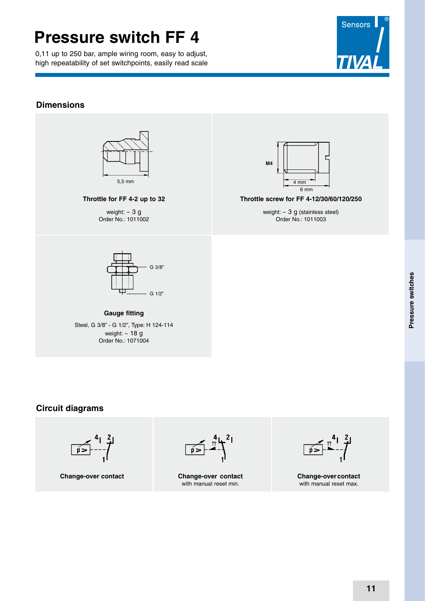0,11 up to 250 bar, ample wiring room, easy to adjust, high repeatability of set switchpoints, easily read scale



### **Dimensions**



### **Throttle for FF 4-2 up to 32**

weight:  $\sim$  3 g Order No.: 1011002



**Throttle screw for FF 4-12/30/60/120/250**

weight: ~ 3 g (stainless steel) Order No.: 1011003



#### **Gauge fitting** Steel, G 3/8" - G 1/2", Type: H 124-114 weight:  $\sim 18$  g Order No.: 1071004

### **Circuit diagrams**



**Change-over contact**

 $\overline{\mathfrak{p}}$ 

**Change-over contact** with manual reset min.

 $\frac{1}{p}$ 

**Change-overcontact** with manual reset max.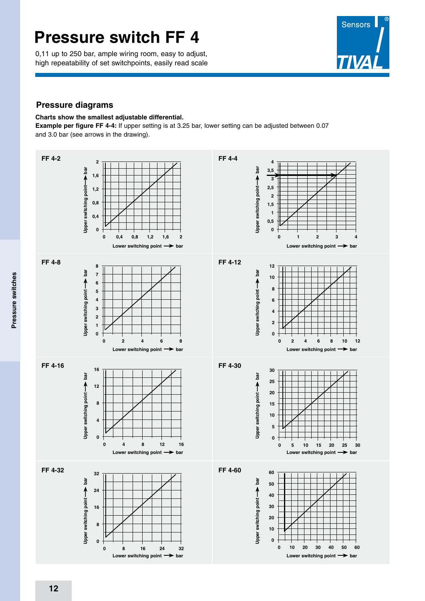0,11 up to 250 bar, ample wiring room, easy to adjust, high repeatability of set switchpoints, easily read scale



### **Pressure diagrams**

#### **Charts show the smallest adjustable differential.**

**Example per figure FF 4-4:** If upper setting is at 3.25 bar, lower setting can be adjusted between 0.07 and 3.0 bar (see arrows in the drawing).